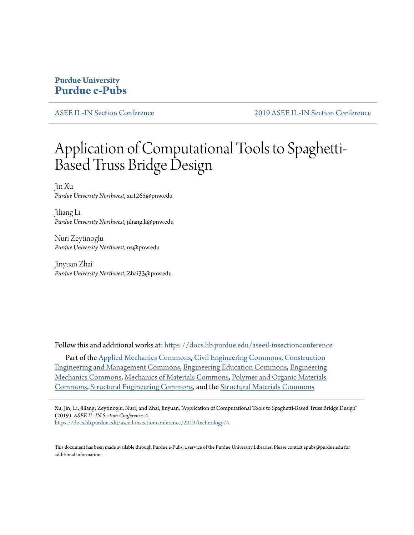# **Purdue University [Purdue e-Pubs](https://docs.lib.purdue.edu?utm_source=docs.lib.purdue.edu%2Faseeil-insectionconference%2F2019%2Ftechnology%2F4&utm_medium=PDF&utm_campaign=PDFCoverPages)**

[ASEE IL-IN Section Conference](https://docs.lib.purdue.edu/aseeil-insectionconference?utm_source=docs.lib.purdue.edu%2Faseeil-insectionconference%2F2019%2Ftechnology%2F4&utm_medium=PDF&utm_campaign=PDFCoverPages) [2019 ASEE IL-IN Section Conference](https://docs.lib.purdue.edu/aseeil-insectionconference/2019?utm_source=docs.lib.purdue.edu%2Faseeil-insectionconference%2F2019%2Ftechnology%2F4&utm_medium=PDF&utm_campaign=PDFCoverPages)

# Application of Computational Tools to Spaghetti-Based Truss Bridge Design

Jin Xu *Purdue University Northwest*, xu1265@pnw.edu

Jiliang Li *Purdue University Northwest*, jiliang.li@pnw.edu

Nuri Zeytinoglu *Purdue University Northwest*, nz@pnw.edu

Jinyuan Zhai *Purdue University Northwest*, Zhai33@pnw.edu

Follow this and additional works at: [https://docs.lib.purdue.edu/aseeil-insectionconference](https://docs.lib.purdue.edu/aseeil-insectionconference?utm_source=docs.lib.purdue.edu%2Faseeil-insectionconference%2F2019%2Ftechnology%2F4&utm_medium=PDF&utm_campaign=PDFCoverPages)

Part of the [Applied Mechanics Commons](http://network.bepress.com/hgg/discipline/295?utm_source=docs.lib.purdue.edu%2Faseeil-insectionconference%2F2019%2Ftechnology%2F4&utm_medium=PDF&utm_campaign=PDFCoverPages), [Civil Engineering Commons](http://network.bepress.com/hgg/discipline/252?utm_source=docs.lib.purdue.edu%2Faseeil-insectionconference%2F2019%2Ftechnology%2F4&utm_medium=PDF&utm_campaign=PDFCoverPages), [Construction](http://network.bepress.com/hgg/discipline/253?utm_source=docs.lib.purdue.edu%2Faseeil-insectionconference%2F2019%2Ftechnology%2F4&utm_medium=PDF&utm_campaign=PDFCoverPages) [Engineering and Management Commons](http://network.bepress.com/hgg/discipline/253?utm_source=docs.lib.purdue.edu%2Faseeil-insectionconference%2F2019%2Ftechnology%2F4&utm_medium=PDF&utm_campaign=PDFCoverPages), [Engineering Education Commons](http://network.bepress.com/hgg/discipline/1191?utm_source=docs.lib.purdue.edu%2Faseeil-insectionconference%2F2019%2Ftechnology%2F4&utm_medium=PDF&utm_campaign=PDFCoverPages), [Engineering](http://network.bepress.com/hgg/discipline/280?utm_source=docs.lib.purdue.edu%2Faseeil-insectionconference%2F2019%2Ftechnology%2F4&utm_medium=PDF&utm_campaign=PDFCoverPages) [Mechanics Commons,](http://network.bepress.com/hgg/discipline/280?utm_source=docs.lib.purdue.edu%2Faseeil-insectionconference%2F2019%2Ftechnology%2F4&utm_medium=PDF&utm_campaign=PDFCoverPages) [Mechanics of Materials Commons](http://network.bepress.com/hgg/discipline/283?utm_source=docs.lib.purdue.edu%2Faseeil-insectionconference%2F2019%2Ftechnology%2F4&utm_medium=PDF&utm_campaign=PDFCoverPages), [Polymer and Organic Materials](http://network.bepress.com/hgg/discipline/289?utm_source=docs.lib.purdue.edu%2Faseeil-insectionconference%2F2019%2Ftechnology%2F4&utm_medium=PDF&utm_campaign=PDFCoverPages) [Commons,](http://network.bepress.com/hgg/discipline/289?utm_source=docs.lib.purdue.edu%2Faseeil-insectionconference%2F2019%2Ftechnology%2F4&utm_medium=PDF&utm_campaign=PDFCoverPages) [Structural Engineering Commons](http://network.bepress.com/hgg/discipline/256?utm_source=docs.lib.purdue.edu%2Faseeil-insectionconference%2F2019%2Ftechnology%2F4&utm_medium=PDF&utm_campaign=PDFCoverPages), and the [Structural Materials Commons](http://network.bepress.com/hgg/discipline/291?utm_source=docs.lib.purdue.edu%2Faseeil-insectionconference%2F2019%2Ftechnology%2F4&utm_medium=PDF&utm_campaign=PDFCoverPages)

Xu, Jin; Li, Jiliang; Zeytinoglu, Nuri; and Zhai, Jinyuan, "Application of Computational Tools to Spaghetti-Based Truss Bridge Design" (2019). *ASEE IL-IN Section Conference*. 4.

[https://docs.lib.purdue.edu/aseeil-insectionconference/2019/technology/4](https://docs.lib.purdue.edu/aseeil-insectionconference/2019/technology/4?utm_source=docs.lib.purdue.edu%2Faseeil-insectionconference%2F2019%2Ftechnology%2F4&utm_medium=PDF&utm_campaign=PDFCoverPages)

This document has been made available through Purdue e-Pubs, a service of the Purdue University Libraries. Please contact epubs@purdue.edu for additional information.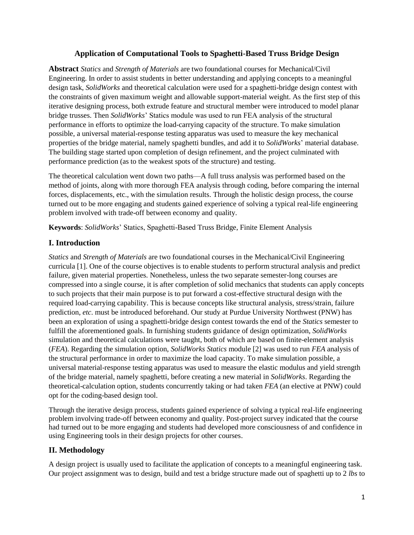# **Application of Computational Tools to Spaghetti-Based Truss Bridge Design**

**Abstract** *Statics* and *Strength of Materials* are two foundational courses for Mechanical/Civil Engineering. In order to assist students in better understanding and applying concepts to a meaningful design task, *SolidWorks* and theoretical calculation were used for a spaghetti-bridge design contest with the constraints of given maximum weight and allowable support-material weight. As the first step of this iterative designing process, both extrude feature and structural member were introduced to model planar bridge trusses. Then *SolidWorks*' Statics module was used to run FEA analysis of the structural performance in efforts to optimize the load-carrying capacity of the structure. To make simulation possible, a universal material-response testing apparatus was used to measure the key mechanical properties of the bridge material, namely spaghetti bundles, and add it to *SolidWorks*' material database. The building stage started upon completion of design refinement, and the project culminated with performance prediction (as to the weakest spots of the structure) and testing.

The theoretical calculation went down two paths—A full truss analysis was performed based on the method of joints, along with more thorough FEA analysis through coding, before comparing the internal forces, displacements, etc., with the simulation results. Through the holistic design process, the course turned out to be more engaging and students gained experience of solving a typical real-life engineering problem involved with trade-off between economy and quality.

**Keywords**: *SolidWorks*' Statics, Spaghetti-Based Truss Bridge, Finite Element Analysis

# **I. Introduction**

*Statics* and *Strength of Materials* are two foundational courses in the Mechanical/Civil Engineering curricula [1]. One of the course objectives is to enable students to perform structural analysis and predict failure, given material properties. Nonetheless, unless the two separate semester-long courses are compressed into a single course, it is after completion of solid mechanics that students can apply concepts to such projects that their main purpose is to put forward a cost-effective structural design with the required load-carrying capability. This is because concepts like structural analysis, stress/strain, failure prediction, *etc*. must be introduced beforehand. Our study at Purdue University Northwest (PNW) has been an exploration of using a spaghetti-bridge design contest towards the end of the *Statics* semester to fulfill the aforementioned goals. In furnishing students guidance of design optimization, *SolidWorks* simulation and theoretical calculations were taught, both of which are based on finite-element analysis (*FEA*). Regarding the simulation option, *SolidWorks Statics* module [2] was used to run *FEA* analysis of the structural performance in order to maximize the load capacity. To make simulation possible, a universal material-response testing apparatus was used to measure the elastic modulus and yield strength of the bridge material, namely spaghetti, before creating a new material in *SolidWorks*. Regarding the theoretical-calculation option, students concurrently taking or had taken *FEA* (an elective at PNW) could opt for the coding-based design tool.

Through the iterative design process, students gained experience of solving a typical real-life engineering problem involving trade-off between economy and quality. Post-project survey indicated that the course had turned out to be more engaging and students had developed more consciousness of and confidence in using Engineering tools in their design projects for other courses.

#### **II. Methodology**

A design project is usually used to facilitate the application of concepts to a meaningful engineering task. Our project assignment was to design, build and test a bridge structure made out of spaghetti up to 2 *lbs* to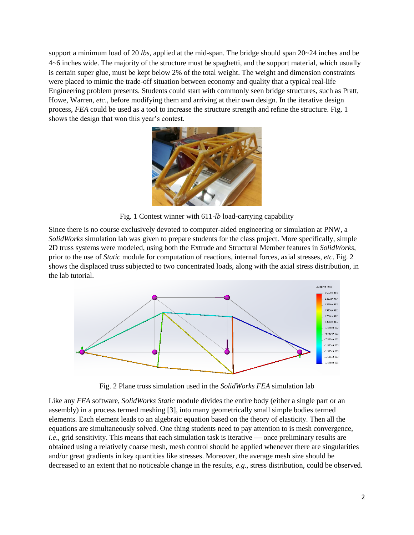support a minimum load of 20 *lbs*, applied at the mid-span. The bridge should span 20~24 inches and be 4~6 inches wide. The majority of the structure must be spaghetti, and the support material, which usually is certain super glue, must be kept below 2% of the total weight. The weight and dimension constraints were placed to mimic the trade-off situation between economy and quality that a typical real-life Engineering problem presents. Students could start with commonly seen bridge structures, such as Pratt, Howe, Warren, *etc*., before modifying them and arriving at their own design. In the iterative design process, *FEA* could be used as a tool to increase the structure strength and refine the structure. Fig. 1 shows the design that won this year's contest.



Fig. 1 Contest winner with 611-*lb* load-carrying capability

Since there is no course exclusively devoted to computer-aided engineering or simulation at PNW, a *SolidWorks* simulation lab was given to prepare students for the class project. More specifically, simple 2D truss systems were modeled, using both the Extrude and Structural Member features in *SolidWorks*, prior to the use of *Static* module for computation of reactions, internal forces, axial stresses, *etc*. Fig. 2 shows the displaced truss subjected to two concentrated loads, along with the axial stress distribution, in the lab tutorial.



Fig. 2 Plane truss simulation used in the *SolidWorks FEA* simulation lab

Like any *FEA* software, *SolidWorks Static* module divides the entire body (either a single part or an assembly) in a process termed meshing [3], into many geometrically small simple bodies termed elements. Each element leads to an algebraic equation based on the theory of elasticity. Then all the equations are simultaneously solved. One thing students need to pay attention to is mesh convergence, *i.e.*, grid sensitivity. This means that each simulation task is iterative — once preliminary results are obtained using a relatively coarse mesh, mesh control should be applied whenever there are singularities and/or great gradients in key quantities like stresses. Moreover, the average mesh size should be decreased to an extent that no noticeable change in the results, *e.g*., stress distribution, could be observed.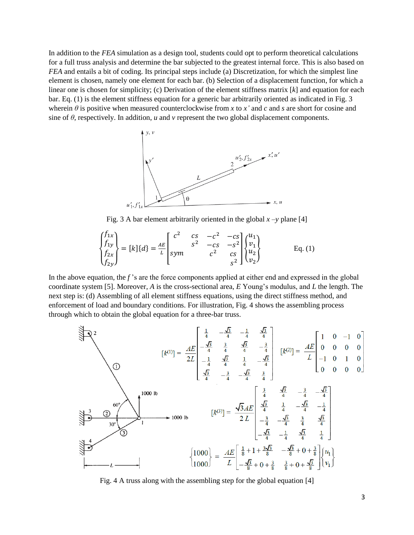In addition to the *FEA* simulation as a design tool, students could opt to perform theoretical calculations for a full truss analysis and determine the bar subjected to the greatest internal force. This is also based on *FEA* and entails a bit of coding. Its principal steps include (a) Discretization, for which the simplest line element is chosen, namely one element for each bar. (b) Selection of a displacement function, for which a linear one is chosen for simplicity; (c) Derivation of the element stiffness matrix [*k*] and equation for each bar. Eq. (1) is the element stiffness equation for a generic bar arbitrarily oriented as indicated in Fig. 3 wherein  $\theta$  is positive when measured counterclockwise from *x* to *x'* and *c* and *s* are short for cosine and sine of  $\theta$ , respectively. In addition, *u* and *v* represent the two global displacement components.



Fig. 3 A bar element arbitrarily oriented in the global  $x - y$  plane [4]

$$
\begin{Bmatrix} f_{1x} \\ f_{1y} \\ f_{2x} \\ f_{2y} \end{Bmatrix} = [k] \{d\} = \frac{4E}{L} \begin{bmatrix} c^2 & cs & -c^2 & -cs \\ s^2 & -cs & -s^2 \\ sym & c^2 & cs \\ & & s^2 \end{bmatrix} \begin{Bmatrix} u_1 \\ v_1 \\ u_2 \\ v_2 \end{Bmatrix}
$$
 Eq. (1)

In the above equation, the *f* 's are the force components applied at either end and expressed in the global coordinate system [5]. Moreover, *A* is the cross-sectional area, *E* Young's modulus, and *L* the length. The next step is: (d) Assembling of all element stiffness equations, using the direct stiffness method, and enforcement of load and boundary conditions. For illustration, Fig. 4 shows the assembling process through which to obtain the global equation for a three-bar truss.



Fig. 4 A truss along with the assembling step for the global equation [4]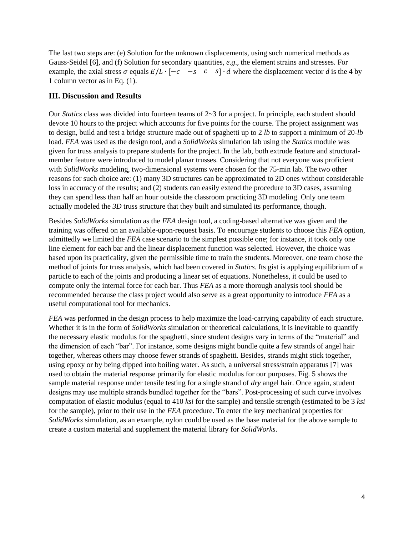The last two steps are: (e) Solution for the unknown displacements, using such numerical methods as Gauss-Seidel [6], and (f) Solution for secondary quantities, *e.g*., the element strains and stresses. For example, the axial stress  $\sigma$  equals  $E/L \cdot [-c -s c s] \cdot d$  where the displacement vector *d* is the 4 by 1 column vector as in Eq. (1).

#### **III. Discussion and Results**

Our *Statics* class was divided into fourteen teams of 2~3 for a project. In principle, each student should devote 10 hours to the project which accounts for five points for the course. The project assignment was to design, build and test a bridge structure made out of spaghetti up to 2 *lb* to support a minimum of 20-*lb* load. *FEA* was used as the design tool, and a *SolidWorks* simulation lab using the *Statics* module was given for truss analysis to prepare students for the project. In the lab, both extrude feature and structuralmember feature were introduced to model planar trusses. Considering that not everyone was proficient with *SolidWorks* modeling, two-dimensional systems were chosen for the 75-min lab. The two other reasons for such choice are: (1) many 3D structures can be approximated to 2D ones without considerable loss in accuracy of the results; and (2) students can easily extend the procedure to 3D cases, assuming they can spend less than half an hour outside the classroom practicing 3D modeling. Only one team actually modeled the *3D* truss structure that they built and simulated its performance, though.

Besides *SolidWorks* simulation as the *FEA* design tool, a coding-based alternative was given and the training was offered on an available-upon-request basis. To encourage students to choose this *FEA* option, admittedly we limited the *FEA* case scenario to the simplest possible one; for instance, it took only one line element for each bar and the linear displacement function was selected. However, the choice was based upon its practicality, given the permissible time to train the students. Moreover, one team chose the method of joints for truss analysis, which had been covered in *Statics*. Its gist is applying equilibrium of a particle to each of the joints and producing a linear set of equations. Nonetheless, it could be used to compute only the internal force for each bar. Thus *FEA* as a more thorough analysis tool should be recommended because the class project would also serve as a great opportunity to introduce *FEA* as a useful computational tool for mechanics.

*FEA* was performed in the design process to help maximize the load-carrying capability of each structure. Whether it is in the form of *SolidWorks* simulation or theoretical calculations, it is inevitable to quantify the necessary elastic modulus for the spaghetti, since student designs vary in terms of the "material" and the dimension of each "bar". For instance, some designs might bundle quite a few strands of angel hair together, whereas others may choose fewer strands of spaghetti. Besides, strands might stick together, using epoxy or by being dipped into boiling water. As such, a universal stress/strain apparatus [7] was used to obtain the material response primarily for elastic modulus for our purposes. Fig. 5 shows the sample material response under tensile testing for a single strand of *dry* angel hair. Once again, student designs may use multiple strands bundled together for the "bars". Post-processing of such curve involves computation of elastic modulus (equal to 410 *ksi* for the sample) and tensile strength (estimated to be 3 *ksi* for the sample), prior to their use in the *FEA* procedure. To enter the key mechanical properties for *SolidWorks* simulation, as an example, nylon could be used as the base material for the above sample to create a custom material and supplement the material library for *SolidWorks*.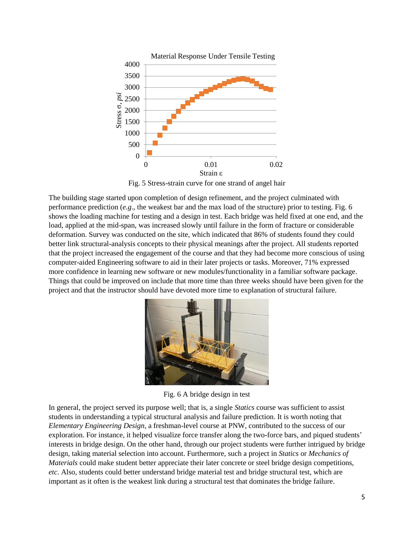

Fig. 5 Stress-strain curve for one strand of angel hair

The building stage started upon completion of design refinement, and the project culminated with performance prediction (*e.g*., the weakest bar and the max load of the structure) prior to testing. Fig. 6 shows the loading machine for testing and a design in test. Each bridge was held fixed at one end, and the load, applied at the mid-span, was increased slowly until failure in the form of fracture or considerable deformation. Survey was conducted on the site, which indicated that 86% of students found they could better link structural-analysis concepts to their physical meanings after the project. All students reported that the project increased the engagement of the course and that they had become more conscious of using computer-aided Engineering software to aid in their later projects or tasks. Moreover, 71% expressed more confidence in learning new software or new modules/functionality in a familiar software package. Things that could be improved on include that more time than three weeks should have been given for the project and that the instructor should have devoted more time to explanation of structural failure.



Fig. 6 A bridge design in test

In general, the project served its purpose well; that is, a single *Statics* course was sufficient to assist students in understanding a typical structural analysis and failure prediction. It is worth noting that *Elementary Engineering Design*, a freshman-level course at PNW, contributed to the success of our exploration. For instance, it helped visualize force transfer along the two-force bars, and piqued students' interests in bridge design. On the other hand, through our project students were further intrigued by bridge design, taking material selection into account. Furthermore, such a project in *Statics* or *Mechanics of Materials* could make student better appreciate their later concrete or steel bridge design competitions, *etc*. Also, students could better understand bridge material test and bridge structural test, which are important as it often is the weakest link during a structural test that dominates the bridge failure.